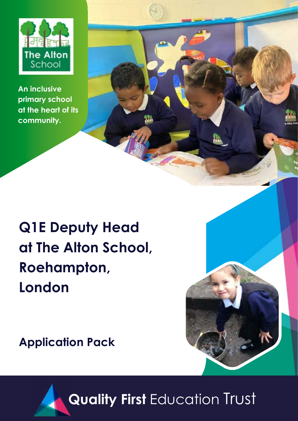

**An inclusive primary school at the heart of its community.**

# **Q1E Deputy Head at The Alton School, Roehampton, London**

**Application Pack**

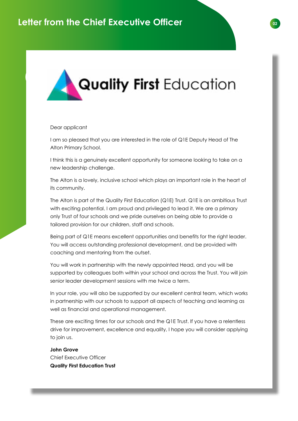

#### Dear applicant

I am so pleased that you are interested in the role of Q1E Deputy Head of The Alton Primary School.

I think this is a genuinely excellent opportunity for someone looking to take on a new leadership challenge.

The Alton is a lovely, inclusive school which plays an important role in the heart of its community.

The Alton is part of the Quality First Education (Q1E) Trust. Q1E is an ambitious Trust with exciting potential. I am proud and privileged to lead it. We are a primary only Trust of four schools and we pride ourselves on being able to provide a tailored provision for our children, staff and schools.

Being part of Q1E means excellent opportunities and benefits for the right leader. You will access outstanding professional development, and be provided with coaching and mentoring from the outset.

You will work in partnership with the newly appointed Head, and you will be supported by colleagues both within your school and across the Trust. You will join senior leader development sessions with me twice a term.

In your role, you will also be supported by our excellent central team, which works in partnership with our schools to support all aspects of teaching and learning as well as financial and operational management.

These are exciting times for our schools and the Q1E Trust. If you have a relentless drive for improvement, excellence and equality, I hope you will consider applying to join us.

**John Grove** Chief Executive Officer **Quality First Education Trust**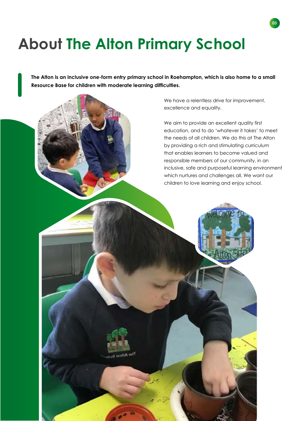# **About The Alton Primary School**

The Alben Sch.

**The Alton is an inclusive one-form entry primary school in Roehampton, which is also home to a small Resource Base for children with moderate learning difficulties.**

> We have a relentless drive for improvement, excellence and equality.

**03**

We aim to provide an excellent quality first education, and to do 'whatever it takes' to meet the needs of all children. We do this at The Alton by providing a rich and stimulating curriculum that enables learners to become valued and responsible members of our community, in an inclusive, safe and purposeful learning environment which nurtures and challenges all. We want our children to love learning and enjoy school.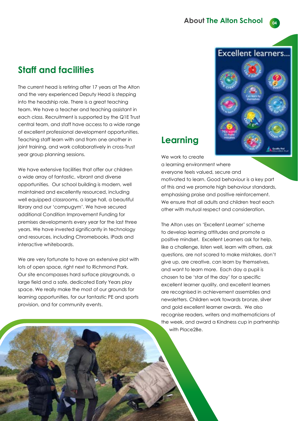# **Staff and facilities**

The current head is retiring after 17 years at The Alton and the very experienced Deputy Head is stepping into the headship role. There is a great teaching team. We have a teacher and teaching assistant in each class. Recruitment is supported by the Q1E Trust central team, and staff have access to a wide range of excellent professional development opportunities. Teaching staff learn with and from one another in joint training, and work collaboratively in cross-Trust year group planning sessions.

We have extensive facilities that offer our children a wide array of fantastic, vibrant and diverse opportunities. Our school building is modern, well maintained and excellently resourced, including well equipped classrooms, a large hall, a beautiful library and our 'compugym'. We have secured additional Condition Improvement Funding for premises developments every year for the last three years. We have invested significantly in technology and resources, including Chromebooks, iPads and interactive whiteboards.

We are very fortunate to have an extensive plot with lots of open space, right next to Richmond Park. Our site encompasses hard surface playgrounds, a large field and a safe, dedicated Early Years play space. We really make the most of our grounds for learning opportunities, for our fantastic PE and sports provision, and for community events.

# **Excellent learners...**

# **Learning**

We work to create

a learning environment where everyone feels valued, secure and motivated to learn. Good behaviour is a key part of this and we promote high behaviour standards, emphasising praise and positive reinforcement. We ensure that all adults and children treat each other with mutual respect and consideration.

The Alton uses an 'Excellent Learner' scheme to develop learning attitudes and promote a positive mindset. Excellent Learners ask for help, like a challenge, listen well, learn with others, ask questions, are not scared to make mistakes, don't give up, are creative, can learn by themselves, and want to learn more. Each day a pupil is chosen to be 'star of the day' for a specific excellent learner quality, and excellent learners are recognised in achievement assemblies and newsletters. Children work towards bronze, silver and gold excellent learner awards. We also recognise readers, writers and mathematicians of the week, and award a Kindness cup in partnership with Place2Be.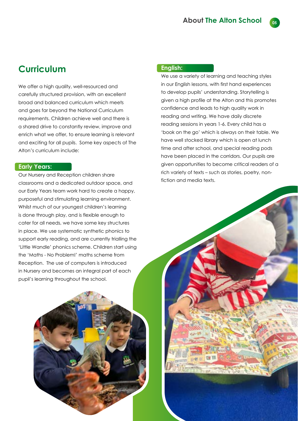**05**

## **Curriculum**

We offer a high quality, well-resourced and carefully structured provision, with an excellent broad and balanced curriculum which meets and goes far beyond the National Curriculum requirements. Children achieve well and there is a shared drive to constantly review, improve and enrich what we offer, to ensure learning is relevant and exciting for all pupils. Some key aspects of The Alton's curriculum include:

#### **Early Years:**

Our Nursery and Reception children share classrooms and a dedicated outdoor space, and our Early Years team work hard to create a happy, purposeful and stimulating learning environment. Whilst much of our youngest children's learning is done through play, and is flexible enough to cater for all needs, we have some key structures in place. We use systematic synthetic phonics to support early reading, and are currently trialling the 'Little Wandle' phonics scheme. Children start using the 'Maths - No Problem!' maths scheme from Reception. The use of computers is introduced in Nursery and becomes an integral part of each pupil's learning throughout the school.

#### **English:**

We use a variety of learning and teaching styles in our English lessons, with first hand experiences to develop pupils' understanding. Storytelling is given a high profile at the Alton and this promotes confidence and leads to high quality work in reading and writing. We have daily discrete reading sessions in years 1-6. Every child has a 'book on the go' which is always on their table. We have well stocked library which is open at lunch time and after school, and special reading pods have been placed in the corridors. Our pupils are given opportunities to become critical readers of a rich variety of texts – such as stories, poetry, nonfiction and media texts.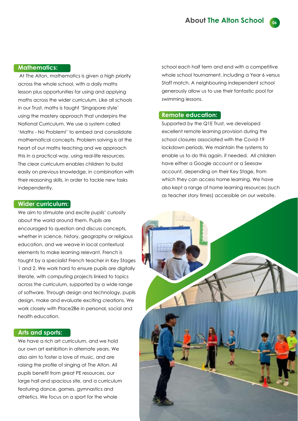#### **Mathematics:**

At The Alton, mathematics is given a high priority across the whole school, with a daily maths lesson plus opportunities for using and applying maths across the wider curriculum. Like all schools in our Trust, maths is taught 'Singapore style' using the mastery approach that underpins the National Curriculum. We use a system called 'Maths - No Problem!' to embed and consolidate mathematical concepts. Problem solving is at the heart of our maths teaching and we approach this in a practical way, using real-life resources. The clear curriculum enables children to build easily on previous knowledge, in combination with their reasoning skills, in order to tackle new tasks independently.

#### **Wider curriculum:**

We aim to stimulate and excite pupils' curiosity about the world around them. Pupils are encouraged to question and discuss concepts, whether in science, history, geography or religious education, and we weave in local contextual elements to make learning relevant. French is taught by a specialist French teacher in Key Stages 1 and 2. We work hard to ensure pupils are digitally literate, with computing projects linked to topics across the curriculum, supported by a wide range of software. Through design and technology, pupils design, make and evaluate exciting creations. We work closely with Place2Be in personal, social and health education.

#### **Arts and sports:**

We have a rich art curriculum, and we hold our own art exhibition in alternate years. We also aim to foster a love of music, and are raising the profile of singing at The Alton. All pupils benefit from great PE resources, our large hall and spacious site, and a curriculum featuring dance, games, gymnastics and athletics. We focus on a sport for the whole

school each half term and end with a competitive whole school tournament, including a Year 6 versus Staff match. A neighbouring independent school generously allow us to use their fantastic pool for swimming lessons.

#### **Remote education:**

Supported by the Q1E Trust, we developed excellent remote learning provision during the school closures associated with the Covid-19 lockdown periods. We maintain the systems to enable us to do this again, if needed. All children have either a Google account or a Seesaw account, depending on their Key Stage, from which they can access home learning. We have also kept a range of home learning resources (such as teacher story times) accessible on our website.

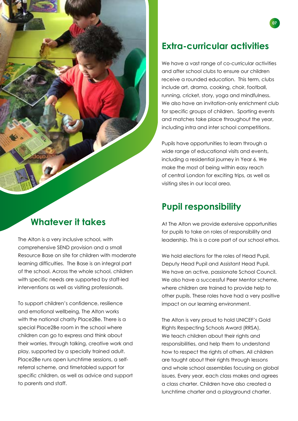**Whatever it takes**

The Alton is a very inclusive school, with comprehensive SEND provision and a small Resource Base on site for children with moderate learning difficulties. The Base is an integral part of the school. Across the whole school, children with specific needs are supported by staff-led interventions as well as visiting professionals.

To support children's confidence, resilience and emotional wellbeing, The Alton works with the national charity Place2Be. There is a special Place2Be room in the school where children can go to express and think about their worries, through talking, creative work and play, supported by a specially trained adult. Place2Be runs open lunchtime sessions, a selfreferral scheme, and timetabled support for specific children, as well as advice and support to parents and staff.

### **Extra-curricular activities**

We have a vast range of co-curricular activities and after school clubs to ensure our children receive a rounded education. This term, clubs include art, drama, cooking, choir, football, running, cricket, story, yoga and mindfulness. We also have an invitation-only enrichment club for specific groups of children. Sporting events and matches take place throughout the year, including intra and inter school competitions.

Pupils have opportunities to learn through a wide range of educational visits and events, including a residential journey in Year 6. We make the most of being within easy reach of central London for exciting trips, as well as visiting sites in our local area.

# **Pupil responsibility**

At The Alton we provide extensive opportunities for pupils to take on roles of responsibility and leadership. This is a core part of our school ethos.

We hold elections for the roles of Head Pupil, Deputy Head Pupil and Assistant Head Pupil. We have an active, passionate School Council. We also have a successful Peer Mentor scheme, where children are trained to provide help to other pupils. These roles have had a very positive impact on our learning environment.

The Alton is very proud to hold UNICEF's Gold Rights Respecting Schools Award (RRSA). We teach children about their rights and responsibilities, and help them to understand how to respect the rights of others. All children are taught about their rights through lessons and whole school assemblies focusing on global issues. Every year, each class makes and agrees a class charter. Children have also created a lunchtime charter and a playground charter.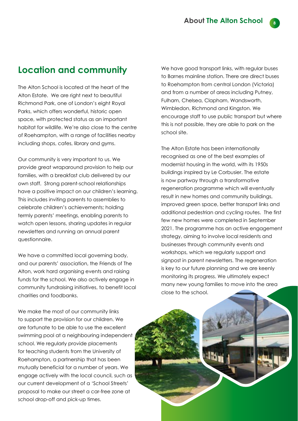## **Location and community**

The Alton School is located at the heart of the Alton Estate. We are right next to beautiful Richmond Park, one of London's eight Royal Parks, which offers wonderful, historic open space, with protected status as an important habitat for wildlife. We're also close to the centre of Roehampton, with a range of facilities nearby including shops, cafes, library and gyms.

Our community is very important to us. We provide great wraparound provision to help our families, with a breakfast club delivered by our own staff. Strong parent-school relationships have a positive impact on our children's learning. This includes inviting parents to assemblies to celebrate children's achievements; holding termly parents' meetings, enabling parents to watch open lessons, sharing updates in regular newsletters and running an annual parent questionnaire.

We have a committed local governing body, and our parents' association, the Friends of The Alton, work hard organising events and raising funds for the school. We also actively engage in community fundraising initiatives, to benefit local charities and foodbanks.

We make the most of our community links to support the provision for our children. We are fortunate to be able to use the excellent swimming pool at a neighbouring independent school. We regularly provide placements for teaching students from the University of Roehampton, a partnership that has been mutually beneficial for a number of years. We engage actively with the local council, such as our current development of a 'School Streets' proposal to make our street a car-free zone at school drop-off and pick-up times.

We have good transport links, with regular buses to Barnes mainline station. There are direct buses to Roehampton from central London (Victoria) and from a number of areas including Putney, Fulham, Chelsea, Clapham, Wandsworth, Wimbledon, Richmond and Kingston. We encourage staff to use public transport but where this is not possible, they are able to park on the school site.

The Alton Estate has been internationally recognised as one of the best examples of modernist housing in the world, with its 1950s buildings inspired by Le Corbusier. The estate is now partway through a transformative regeneration programme which will eventually result in new homes and community buildings, improved green space, better transport links and additional pedestrian and cycling routes. The first few new homes were completed in September 2021. The programme has an active engagement strategy, aiming to involve local residents and businesses through community events and workshops, which we regularly support and signpost in parent newsletters. The regeneration is key to our future planning and we are keenly monitoring its progress. We ultimately expect many new young families to move into the area close to the school.

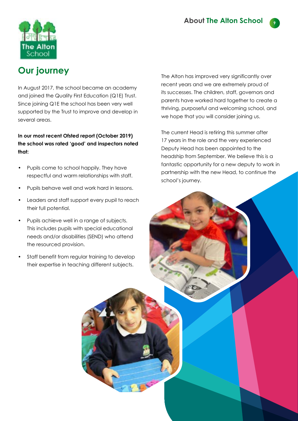

# **Our journey**

In August 2017, the school became an academy and joined the Quality First Education (Q1E) Trust. Since joining Q1E the school has been very well supported by the Trust to improve and develop in several areas.

**In our most recent Ofsted report (October 2019) the school was rated 'good' and inspectors noted that:**

- Pupils come to school happily. They have respectful and warm relationships with staff.
- Pupils behave well and work hard in lessons.
- Leaders and staff support every pupil to reach their full potential.
- Pupils achieve well in a range of subjects. This includes pupils with special educational needs and/or disabilities (SEND) who attend the resourced provision.
- Staff benefit from regular training to develop their expertise in teaching different subjects.

The Alton has improved very significantly over recent years and we are extremely proud of its successes. The children, staff, governors and parents have worked hard together to create a thriving, purposeful and welcoming school, and we hope that you will consider joining us.

The current Head is retiring this summer after 17 years in the role and the very experienced Deputy Head has been appointed to the headship from September. We believe this is a fantastic opportunity for a new deputy to work in partnership with the new Head, to continue the school's journey.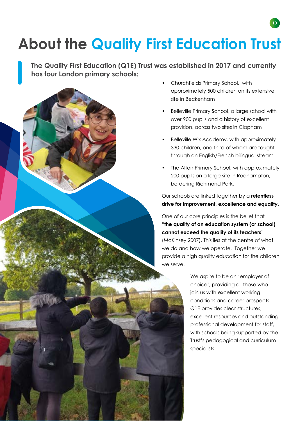# **About the Quality First Education Trust**

**The Quality First Education (Q1E) Trust was established in 2017 and currently has four London primary schools:** 

- we serve.
- Churchfields Primary School, with approximately 500 children on its extensive site in Beckenham

**10**

- Belleville Primary School, a large school with over 900 pupils and a history of excellent provision, across two sites in Clapham
- Belleville Wix Academy, with approximately 330 children, one third of whom are taught through an English/French bilingual stream
- The Alton Primary School, with approximately 200 pupils on a large site in Roehampton, bordering Richmond Park.

Our schools are linked together by a **relentless drive for improvement, excellence and equality**.

One of our core principles is the belief that "**the quality of an education system (or school) cannot exceed the quality of its teachers**" (McKinsey 2007). This lies at the centre of what we do and how we operate. Together we provide a high quality education for the children

> We aspire to be an 'employer of choice', providing all those who join us with excellent working conditions and career prospects. Q1E provides clear structures, excellent resources and outstanding professional development for staff, with schools being supported by the Trust's pedagogical and curriculum specialists.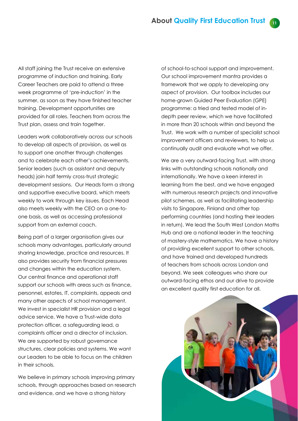All staff joining the Trust receive an extensive programme of induction and training. Early Career Teachers are paid to attend a three week programme of 'pre-induction' in the summer, as soon as they have finished teacher training. Development opportunities are provided for all roles. Teachers from across the Trust plan, assess and train together.

Leaders work collaboratively across our schools to develop all aspects of provision, as well as to support one another through challenges and to celebrate each other's achievements. Senior leaders (such as assistant and deputy heads) join half termly cross-trust strategic development sessions. Our Heads form a strong and supportive executive board, which meets weekly to work through key issues. Each Head also meets weekly with the CEO on a one-toone basis, as well as accessing professional support from an external coach.

Being part of a larger organisation gives our schools many advantages, particularly around sharing knowledge, practice and resources. It also provides security from financial pressures and changes within the education system. Our central finance and operational staff support our schools with areas such as finance, personnel, estates, IT, complaints, appeals and many other aspects of school management. We invest in specialist HR provision and a legal advice service. We have a Trust-wide data protection officer, a safeguarding lead, a complaints officer and a director of inclusion. We are supported by robust governance structures, clear policies and systems. We want our Leaders to be able to focus on the children in their schools.

We believe in primary schools improving primary schools, through approaches based on research and evidence, and we have a strong history

of school-to-school support and improvement. Our school improvement mantra provides a framework that we apply to developing any aspect of provision. Our toolbox includes our home-grown Guided Peer Evaluation (GPE) programme: a tried and tested model of indepth peer review, which we have facilitated in more than 20 schools within and beyond the Trust. We work with a number of specialist school improvement officers and reviewers, to help us continually audit and evaluate what we offer.

We are a very outward-facing Trust, with strong links with outstanding schools nationally and internationally. We have a keen interest in learning from the best, and we have engaged with numerous research projects and innovative pilot schemes, as well as facilitating leadership visits to Singapore, Finland and other top performing countries (and hosting their leaders in return). We lead the South West London Maths Hub and are a national leader in the teaching of mastery-style mathematics. We have a history of providing excellent support to other schools, and have trained and developed hundreds of teachers from schools across London and beyond. We seek colleagues who share our outward-facing ethos and our drive to provide an excellent quality first education for all.

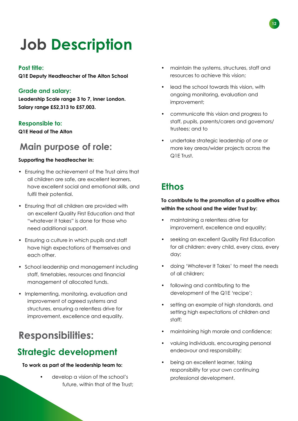# **Job Description**

#### **Post title:**

**Q1E Deputy Headteacher of The Alton School** 

#### **Grade and salary:**

**Leadership Scale range 3 to 7, inner London. Salary range £52,313 to £57,003.**

#### **Responsible to:**

**Q1E Head of The Alton**

# **Main purpose of role:**

#### **Supporting the headteacher in:**

- Ensuring the achievement of the Trust aims that all children are safe, are excellent learners, have excellent social and emotional skills, and fulfil their potential.
- Ensuring that all children are provided with an excellent Quality First Education and that "whatever it takes" is done for those who need additional support.
- Ensuring a culture in which pupils and staff have high expectations of themselves and each other.
- School leadership and management including staff, timetables, resources and financial management of allocated funds.
- Implementing, monitoring, evaluation and improvement of agreed systems and structures, ensuring a relentless drive for improvement, excellence and equality.

# **Responsibilities:**

# **Strategic development**

#### **To work as part of the leadership team to:**

• develop a vision of the school's future, within that of the Trust;

- maintain the systems, structures, staff and resources to achieve this vision;
- lead the school towards this vision, with ongoing monitoring, evaluation and improvement;
- communicate this vision and progress to staff, pupils, parents/carers and governors/ trustees; and to
- undertake strategic leadership of one or more key areas/wider projects across the Q1E Trust.

# **Ethos**

#### **To contribute to the promotion of a positive ethos within the school and the wider Trust by:**

- maintaining a relentless drive for improvement, excellence and equality;
- seeking an excellent Quality First Education for all children: every child, every class, every day;
- doing 'Whatever It Takes' to meet the needs of all children;
- following and contributing to the development of the Q1E 'recipe';
- setting an example of high standards, and setting high expectations of children and staff;
- maintaining high morale and confidence;
- valuing individuals, encouraging personal endeavour and responsibility;
- being an excellent learner, taking responsibility for your own continuing professional development.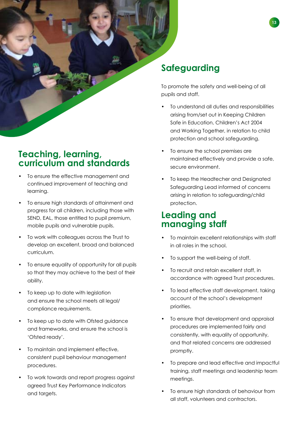## **Teaching, learning, curriculum and standards**

- To ensure the effective management and continued improvement of teaching and learning.
- To ensure high standards of attainment and progress for all children, including those with SEND, EAL, those entitled to pupil premium, mobile pupils and vulnerable pupils.
- To work with colleagues across the Trust to develop an excellent, broad and balanced curriculum.
- To ensure equality of opportunity for all pupils so that they may achieve to the best of their ability.
- To keep up to date with legislation and ensure the school meets all legal/ compliance requirements.
- To keep up to date with Ofsted guidance and frameworks, and ensure the school is 'Ofsted ready'.
- To maintain and implement effective, consistent pupil behaviour management procedures.
- To work towards and report progress against agreed Trust Key Performance Indicators and targets.

# **Safeguarding**

To promote the safety and well-being of all pupils and staff.

- To understand all duties and responsibilities arising from/set out in Keeping Children Safe in Education, Children's Act 2004 and Working Together, in relation to child protection and school safeguarding.
- To ensure the school premises are maintained effectively and provide a safe, secure environment.
- To keep the Headtecher and Designated Safeguarding Lead informed of concerns arising in relation to safeguarding/child protection.

# **Leading and managing staff**

- To maintain excellent relationships with staff in all roles in the school.
- To support the well-being of staff.
- To recruit and retain excellent staff, in accordance with agreed Trust procedures.
- To lead effective staff development, taking account of the school's development priorities.
- To ensure that development and appraisal procedures are implemented fairly and consistently, with equality of opportunity, and that related concerns are addressed promptly.
- To prepare and lead effective and impactful training, staff meetings and leadership team meetings.
- To ensure high standards of behaviour from all staff, volunteers and contractors.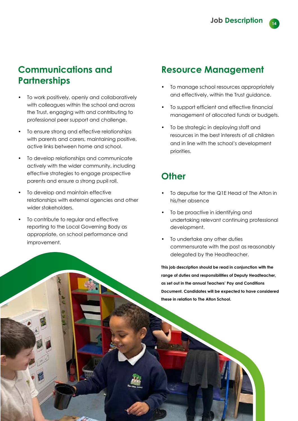**14**

# **Communications and Partnerships**

- To work positively, openly and collaboratively with colleagues within the school and across the Trust, engaging with and contributing to professional peer support and challenge.
- To ensure strong and effective relationships with parents and carers, maintaining positive, active links between home and school.
- To develop relationships and communicate actively with the wider community, including effective strategies to engage prospective parents and ensure a strong pupil roll.
- To develop and maintain effective relationships with external agencies and other wider stakeholders.
- To contribute to regular and effective reporting to the Local Governing Body as appropriate, on school performance and improvement.

# **Resource Management**

- To manage school resources appropriately and effectively, within the Trust guidance.
- To support efficient and effective financial management of allocated funds or budgets.
- To be strategic in deploying staff and resources in the best interests of all children and in line with the school's development priorities.

# **Other**

- To deputise for the Q1E Head of The Alton in his/her absence
- To be proactive in identifying and undertaking relevant continuing professional development.
- To undertake any other duties commensurate with the post as reasonably delegated by the Headteacher.

**This job description should be read in conjunction with the range of duties and responsibilities of Deputy Headteacher, as set out in the annual Teachers' Pay and Conditions Document. Candidates will be expected to have considered these in relation to The Alton School.**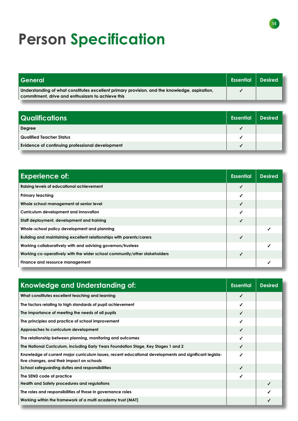# **Person Specification**

| General                                                                                                                                           | <b>Essential</b> | <b>Desired</b> |
|---------------------------------------------------------------------------------------------------------------------------------------------------|------------------|----------------|
| Understanding of what constitutes excellent primary provision, and the knowledge, aspiration,<br>commitment, drive and enthusiasm to achieve this |                  |                |

| <b>Qualifications</b>                           | <b>Essential</b> | <b>Desired</b> |
|-------------------------------------------------|------------------|----------------|
| Degree                                          |                  |                |
| Qualified Teacher Status                        |                  |                |
| Evidence of continuing professional development | J                |                |

| <b>Experience of:</b>                                                     | <b>Essential</b> | <b>Desired</b> |
|---------------------------------------------------------------------------|------------------|----------------|
| <b>Raising levels of educational achievement</b>                          |                  |                |
| <b>Primary teaching</b>                                                   | √                |                |
| Whole school management at senior level                                   |                  |                |
| Curriculum development and innovation                                     |                  |                |
| Staff deployment, development and training                                |                  |                |
| Whole-school policy development and planning                              |                  |                |
| Building and maintaining excellent relationships with parents/carers      |                  |                |
| Working collaboratively with and advising governors/trustees              |                  |                |
| Working co-operatively with the wider school community/other stakeholders |                  |                |
| Finance and resource management                                           |                  |                |

| <b>Knowledge and Understanding of:</b>                                                                                                              | <b>Essential</b> | <b>Desired</b> |
|-----------------------------------------------------------------------------------------------------------------------------------------------------|------------------|----------------|
| What constitutes excellent teaching and learning                                                                                                    | ✓                |                |
| The factors relating to high standards of pupil achievement                                                                                         | ✓                |                |
| The importance of meeting the needs of all pupils                                                                                                   | ✓                |                |
| The principles and practice of school improvement                                                                                                   | ✓                |                |
| Approaches to curriculum development                                                                                                                | ✓                |                |
| The relationship between planning, monitoring and outcomes                                                                                          | √                |                |
| The National Curriculum, including Early Years Foundation Stage, Key Stages 1 and 2                                                                 | ✓                |                |
| Knowledge of current major curriculum issues, recent educational developments and significant legisla-<br>tive changes, and their impact on schools | ✓                |                |
| School safeguarding duties and responsibilities                                                                                                     | ✓                |                |
| The SEND code of practice                                                                                                                           | ✓                |                |
| Health and Safety procedures and regulations                                                                                                        |                  | ✓              |
| The roles and responsibilities of those in governance roles                                                                                         |                  |                |
| Working within the framework of a multi academy trust (MAT)                                                                                         |                  |                |

**15**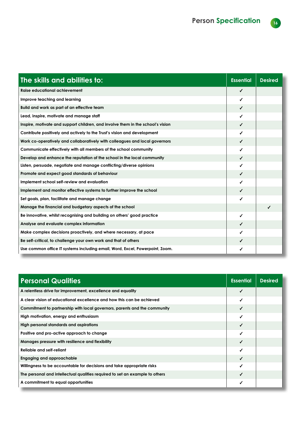| The skills and abilities to:                                                    | <b>Essential</b> | <b>Desired</b> |
|---------------------------------------------------------------------------------|------------------|----------------|
| <b>Raise educational achievement</b>                                            | ✓                |                |
| Improve teaching and learning                                                   | ✓                |                |
| Build and work as part of an effective team                                     | ✓                |                |
| Lead, inspire, motivate and manage staff                                        | ✓                |                |
| Inspire, motivate and support children, and involve them in the school's vision | ✓                |                |
| Contribute positively and actively to the Trust's vision and development        | ✓                |                |
| Work co-operatively and collaboratively with colleagues and local governors     | ✓                |                |
| Communicate effectively with all members of the school community                | ✓                |                |
| Develop and enhance the reputation of the school in the local community         | ✓                |                |
| Listen, persuade, negotiate and manage conflicting/diverse opinions             | ✓                |                |
| Promote and expect good standards of behaviour                                  | √                |                |
| Implement school self-review and evaluation                                     | ✓                |                |
| Implement and monitor effective systems to further improve the school           | ✓                |                |
| Set goals, plan, facilitate and manage change                                   | ✓                |                |
| Manage the financial and budgetary aspects of the school                        |                  | ✓              |
| Be innovative, whilst recognising and building on others' good practice         | ✓                |                |
| Analyse and evaluate complex information                                        | ✓                |                |
| Make complex decisions proactively, and where necessary, at pace                | ✓                |                |
| Be self-critical, to challenge your own work and that of others                 | ✓                |                |
| Use common office IT systems including email, Word, Excel, Powerpoint, Zoom.    | ✓                |                |

| <b>Personal Qualities</b>                                                    | <b>Essential</b> | <b>Desired</b> |
|------------------------------------------------------------------------------|------------------|----------------|
| A relentless drive for improvement, excellence and equality                  | ✓                |                |
| A clear vision of educational excellence and how this can be achieved        | ✓                |                |
| Commitment to partnership with local governors, parents and the community    | ✓                |                |
| High motivation, energy and enthusiasm                                       | ✓                |                |
| High personal standards and aspirations                                      | ✓                |                |
| Positive and pro-active approach to change                                   | ✓                |                |
| Manages pressure with resilience and flexibility                             | ✓                |                |
| Reliable and self-reliant                                                    | ✓                |                |
| Engaging and approachable                                                    | ✓                |                |
| Willingness to be accountable for decisions and take appropriate risks       | ✓                |                |
| The personal and intellectual qualities required to set an example to others | ✓                |                |
| A commitment to equal opportunities                                          | ✓                |                |